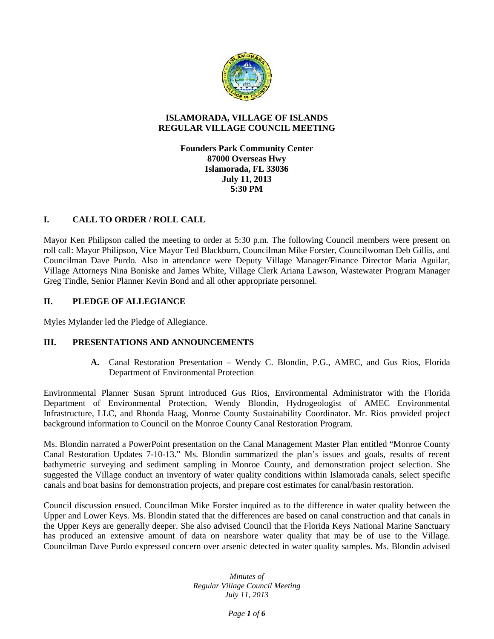

#### **ISLAMORADA, VILLAGE OF ISLANDS REGULAR VILLAGE COUNCIL MEETING**

**Founders Park Community Center 87000 Overseas Hwy Islamorada, FL 33036 July 11, 2013 5:30 PM**

# **I. CALL TO ORDER / ROLL CALL**

Mayor Ken Philipson called the meeting to order at 5:30 p.m. The following Council members were present on roll call: Mayor Philipson, Vice Mayor Ted Blackburn, Councilman Mike Forster, Councilwoman Deb Gillis, and Councilman Dave Purdo. Also in attendance were Deputy Village Manager/Finance Director Maria Aguilar, Village Attorneys Nina Boniske and James White, Village Clerk Ariana Lawson, Wastewater Program Manager Greg Tindle, Senior Planner Kevin Bond and all other appropriate personnel.

### **II. PLEDGE OF ALLEGIANCE**

Myles Mylander led the Pledge of Allegiance.

## **III. PRESENTATIONS AND ANNOUNCEMENTS**

**A.** Canal Restoration Presentation – Wendy C. Blondin, P.G., AMEC, and Gus Rios, Florida Department of Environmental Protection

Environmental Planner Susan Sprunt introduced Gus Rios, Environmental Administrator with the Florida Department of Environmental Protection, Wendy Blondin, Hydrogeologist of AMEC Environmental Infrastructure, LLC, and Rhonda Haag, Monroe County Sustainability Coordinator. Mr. Rios provided project background information to Council on the Monroe County Canal Restoration Program.

Ms. Blondin narrated a PowerPoint presentation on the Canal Management Master Plan entitled "Monroe County Canal Restoration Updates 7-10-13." Ms. Blondin summarized the plan's issues and goals, results of recent bathymetric surveying and sediment sampling in Monroe County, and demonstration project selection. She suggested the Village conduct an inventory of water quality conditions within Islamorada canals, select specific canals and boat basins for demonstration projects, and prepare cost estimates for canal/basin restoration.

Council discussion ensued. Councilman Mike Forster inquired as to the difference in water quality between the Upper and Lower Keys. Ms. Blondin stated that the differences are based on canal construction and that canals in the Upper Keys are generally deeper. She also advised Council that the Florida Keys National Marine Sanctuary has produced an extensive amount of data on nearshore water quality that may be of use to the Village. Councilman Dave Purdo expressed concern over arsenic detected in water quality samples. Ms. Blondin advised

> *Minutes of Regular Village Council Meeting July 11, 2013*

> > *Page 1 of 6*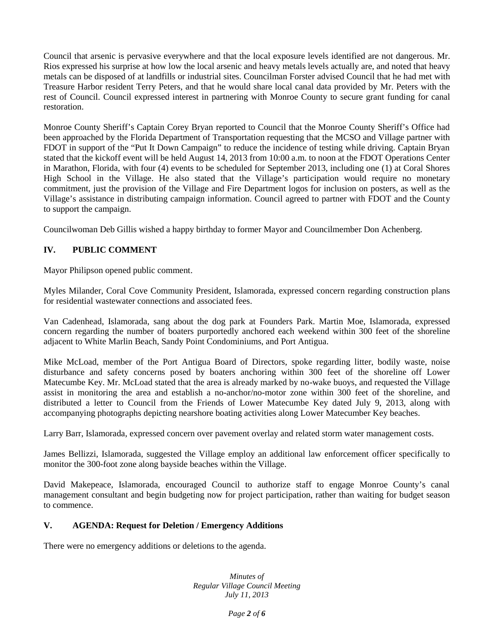Council that arsenic is pervasive everywhere and that the local exposure levels identified are not dangerous. Mr. Rios expressed his surprise at how low the local arsenic and heavy metals levels actually are, and noted that heavy metals can be disposed of at landfills or industrial sites. Councilman Forster advised Council that he had met with Treasure Harbor resident Terry Peters, and that he would share local canal data provided by Mr. Peters with the rest of Council. Council expressed interest in partnering with Monroe County to secure grant funding for canal restoration.

Monroe County Sheriff's Captain Corey Bryan reported to Council that the Monroe County Sheriff's Office had been approached by the Florida Department of Transportation requesting that the MCSO and Village partner with FDOT in support of the "Put It Down Campaign" to reduce the incidence of testing while driving. Captain Bryan stated that the kickoff event will be held August 14, 2013 from 10:00 a.m. to noon at the FDOT Operations Center in Marathon, Florida, with four (4) events to be scheduled for September 2013, including one (1) at Coral Shores High School in the Village. He also stated that the Village's participation would require no monetary commitment, just the provision of the Village and Fire Department logos for inclusion on posters, as well as the Village's assistance in distributing campaign information. Council agreed to partner with FDOT and the County to support the campaign.

Councilwoman Deb Gillis wished a happy birthday to former Mayor and Councilmember Don Achenberg.

## **IV. PUBLIC COMMENT**

Mayor Philipson opened public comment.

Myles Milander, Coral Cove Community President, Islamorada, expressed concern regarding construction plans for residential wastewater connections and associated fees.

Van Cadenhead, Islamorada, sang about the dog park at Founders Park. Martin Moe, Islamorada, expressed concern regarding the number of boaters purportedly anchored each weekend within 300 feet of the shoreline adjacent to White Marlin Beach, Sandy Point Condominiums, and Port Antigua.

Mike McLoad, member of the Port Antigua Board of Directors, spoke regarding litter, bodily waste, noise disturbance and safety concerns posed by boaters anchoring within 300 feet of the shoreline off Lower Matecumbe Key. Mr. McLoad stated that the area is already marked by no-wake buoys, and requested the Village assist in monitoring the area and establish a no-anchor/no-motor zone within 300 feet of the shoreline, and distributed a letter to Council from the Friends of Lower Matecumbe Key dated July 9, 2013, along with accompanying photographs depicting nearshore boating activities along Lower Matecumber Key beaches.

Larry Barr, Islamorada, expressed concern over pavement overlay and related storm water management costs.

James Bellizzi, Islamorada, suggested the Village employ an additional law enforcement officer specifically to monitor the 300-foot zone along bayside beaches within the Village.

David Makepeace, Islamorada, encouraged Council to authorize staff to engage Monroe County's canal management consultant and begin budgeting now for project participation, rather than waiting for budget season to commence.

## **V. AGENDA: Request for Deletion / Emergency Additions**

There were no emergency additions or deletions to the agenda.

*Minutes of Regular Village Council Meeting July 11, 2013*

*Page 2 of 6*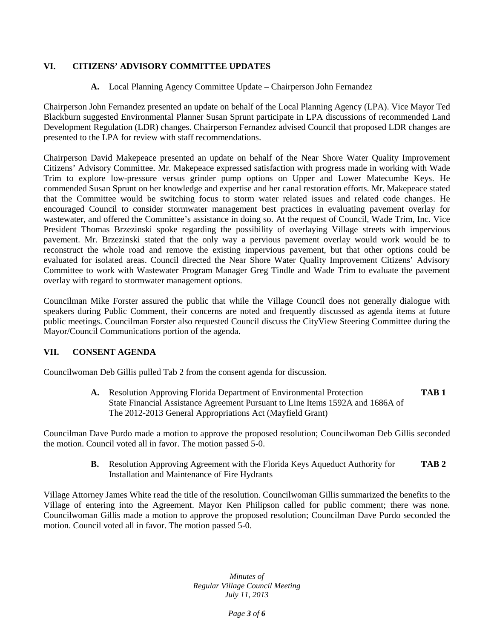## **VI. CITIZENS' ADVISORY COMMITTEE UPDATES**

### **A.** Local Planning Agency Committee Update – Chairperson John Fernandez

Chairperson John Fernandez presented an update on behalf of the Local Planning Agency (LPA). Vice Mayor Ted Blackburn suggested Environmental Planner Susan Sprunt participate in LPA discussions of recommended Land Development Regulation (LDR) changes. Chairperson Fernandez advised Council that proposed LDR changes are presented to the LPA for review with staff recommendations.

Chairperson David Makepeace presented an update on behalf of the Near Shore Water Quality Improvement Citizens' Advisory Committee. Mr. Makepeace expressed satisfaction with progress made in working with Wade Trim to explore low-pressure versus grinder pump options on Upper and Lower Matecumbe Keys. He commended Susan Sprunt on her knowledge and expertise and her canal restoration efforts. Mr. Makepeace stated that the Committee would be switching focus to storm water related issues and related code changes. He encouraged Council to consider stormwater management best practices in evaluating pavement overlay for wastewater, and offered the Committee's assistance in doing so. At the request of Council, Wade Trim, Inc. Vice President Thomas Brzezinski spoke regarding the possibility of overlaying Village streets with impervious pavement. Mr. Brzezinski stated that the only way a pervious pavement overlay would work would be to reconstruct the whole road and remove the existing impervious pavement, but that other options could be evaluated for isolated areas. Council directed the Near Shore Water Quality Improvement Citizens' Advisory Committee to work with Wastewater Program Manager Greg Tindle and Wade Trim to evaluate the pavement overlay with regard to stormwater management options.

Councilman Mike Forster assured the public that while the Village Council does not generally dialogue with speakers during Public Comment, their concerns are noted and frequently discussed as agenda items at future public meetings. Councilman Forster also requested Council discuss the CityView Steering Committee during the Mayor/Council Communications portion of the agenda.

#### **VII. CONSENT AGENDA**

Councilwoman Deb Gillis pulled Tab 2 from the consent agenda for discussion.

**A.** Resolution Approving Florida Department of Environmental Protection **TAB 1** State Financial Assistance Agreement Pursuant to Line Items 1592A and 1686A of The 2012-2013 General Appropriations Act (Mayfield Grant)

Councilman Dave Purdo made a motion to approve the proposed resolution; Councilwoman Deb Gillis seconded the motion. Council voted all in favor. The motion passed 5-0.

> **B.** Resolution Approving Agreement with the Florida Keys Aqueduct Authority for **TAB 2** Installation and Maintenance of Fire Hydrants

Village Attorney James White read the title of the resolution. Councilwoman Gillis summarized the benefits to the Village of entering into the Agreement. Mayor Ken Philipson called for public comment; there was none. Councilwoman Gillis made a motion to approve the proposed resolution; Councilman Dave Purdo seconded the motion. Council voted all in favor. The motion passed 5-0.

> *Minutes of Regular Village Council Meeting July 11, 2013*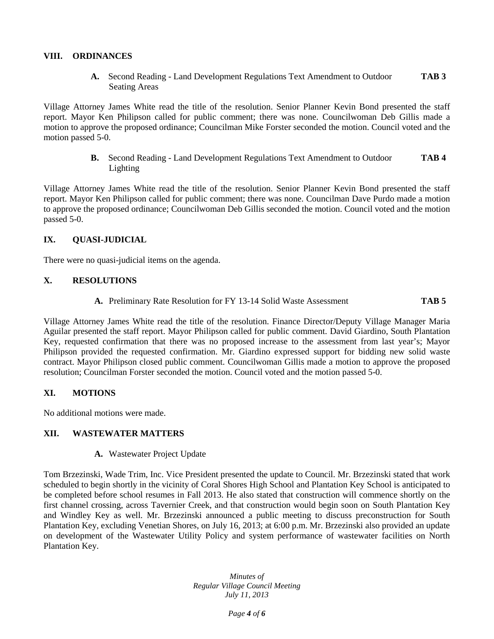#### **VIII. ORDINANCES**

**A.** Second Reading - Land Development Regulations Text Amendment to Outdoor **TAB 3** Seating Areas

Village Attorney James White read the title of the resolution. Senior Planner Kevin Bond presented the staff report. Mayor Ken Philipson called for public comment; there was none. Councilwoman Deb Gillis made a motion to approve the proposed ordinance; Councilman Mike Forster seconded the motion. Council voted and the motion passed 5-0.

> **B.** Second Reading - Land Development Regulations Text Amendment to Outdoor **TAB 4** Lighting

Village Attorney James White read the title of the resolution. Senior Planner Kevin Bond presented the staff report. Mayor Ken Philipson called for public comment; there was none. Councilman Dave Purdo made a motion to approve the proposed ordinance; Councilwoman Deb Gillis seconded the motion. Council voted and the motion passed 5-0.

### **IX. QUASI-JUDICIAL**

There were no quasi-judicial items on the agenda.

### **X. RESOLUTIONS**

**A.** Preliminary Rate Resolution for FY 13-14 Solid Waste Assessment **TAB 5**

Village Attorney James White read the title of the resolution. Finance Director/Deputy Village Manager Maria Aguilar presented the staff report. Mayor Philipson called for public comment. David Giardino, South Plantation Key, requested confirmation that there was no proposed increase to the assessment from last year's; Mayor Philipson provided the requested confirmation. Mr. Giardino expressed support for bidding new solid waste contract. Mayor Philipson closed public comment. Councilwoman Gillis made a motion to approve the proposed resolution; Councilman Forster seconded the motion. Council voted and the motion passed 5-0.

#### **XI. MOTIONS**

No additional motions were made.

#### **XII. WASTEWATER MATTERS**

**A.** Wastewater Project Update

Tom Brzezinski, Wade Trim, Inc. Vice President presented the update to Council. Mr. Brzezinski stated that work scheduled to begin shortly in the vicinity of Coral Shores High School and Plantation Key School is anticipated to be completed before school resumes in Fall 2013. He also stated that construction will commence shortly on the first channel crossing, across Tavernier Creek, and that construction would begin soon on South Plantation Key and Windley Key as well. Mr. Brzezinski announced a public meeting to discuss preconstruction for South Plantation Key, excluding Venetian Shores, on July 16, 2013; at 6:00 p.m. Mr. Brzezinski also provided an update on development of the Wastewater Utility Policy and system performance of wastewater facilities on North Plantation Key.

> *Minutes of Regular Village Council Meeting July 11, 2013*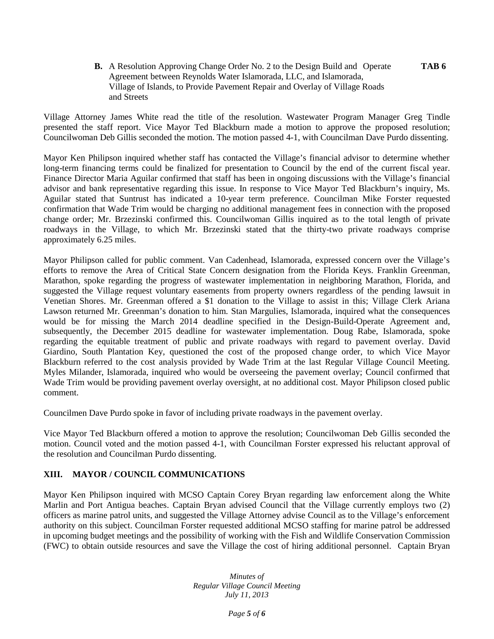**B.** A Resolution Approving Change Order No. 2 to the Design Build and Operate **TAB 6** Agreement between Reynolds Water Islamorada, LLC, and Islamorada, Village of Islands, to Provide Pavement Repair and Overlay of Village Roads and Streets

Village Attorney James White read the title of the resolution. Wastewater Program Manager Greg Tindle presented the staff report. Vice Mayor Ted Blackburn made a motion to approve the proposed resolution; Councilwoman Deb Gillis seconded the motion. The motion passed 4-1, with Councilman Dave Purdo dissenting.

Mayor Ken Philipson inquired whether staff has contacted the Village's financial advisor to determine whether long-term financing terms could be finalized for presentation to Council by the end of the current fiscal year. Finance Director Maria Aguilar confirmed that staff has been in ongoing discussions with the Village's financial advisor and bank representative regarding this issue. In response to Vice Mayor Ted Blackburn's inquiry, Ms. Aguilar stated that Suntrust has indicated a 10-year term preference. Councilman Mike Forster requested confirmation that Wade Trim would be charging no additional management fees in connection with the proposed change order; Mr. Brzezinski confirmed this. Councilwoman Gillis inquired as to the total length of private roadways in the Village, to which Mr. Brzezinski stated that the thirty-two private roadways comprise approximately 6.25 miles.

Mayor Philipson called for public comment. Van Cadenhead, Islamorada, expressed concern over the Village's efforts to remove the Area of Critical State Concern designation from the Florida Keys. Franklin Greenman, Marathon, spoke regarding the progress of wastewater implementation in neighboring Marathon, Florida, and suggested the Village request voluntary easements from property owners regardless of the pending lawsuit in Venetian Shores. Mr. Greenman offered a \$1 donation to the Village to assist in this; Village Clerk Ariana Lawson returned Mr. Greenman's donation to him. Stan Margulies, Islamorada, inquired what the consequences would be for missing the March 2014 deadline specified in the Design-Build-Operate Agreement and, subsequently, the December 2015 deadline for wastewater implementation. Doug Rabe, Islamorada, spoke regarding the equitable treatment of public and private roadways with regard to pavement overlay. David Giardino, South Plantation Key, questioned the cost of the proposed change order, to which Vice Mayor Blackburn referred to the cost analysis provided by Wade Trim at the last Regular Village Council Meeting. Myles Milander, Islamorada, inquired who would be overseeing the pavement overlay; Council confirmed that Wade Trim would be providing pavement overlay oversight, at no additional cost. Mayor Philipson closed public comment.

Councilmen Dave Purdo spoke in favor of including private roadways in the pavement overlay.

Vice Mayor Ted Blackburn offered a motion to approve the resolution; Councilwoman Deb Gillis seconded the motion. Council voted and the motion passed 4-1, with Councilman Forster expressed his reluctant approval of the resolution and Councilman Purdo dissenting.

## **XIII. MAYOR / COUNCIL COMMUNICATIONS**

Mayor Ken Philipson inquired with MCSO Captain Corey Bryan regarding law enforcement along the White Marlin and Port Antigua beaches. Captain Bryan advised Council that the Village currently employs two (2) officers as marine patrol units, and suggested the Village Attorney advise Council as to the Village's enforcement authority on this subject. Councilman Forster requested additional MCSO staffing for marine patrol be addressed in upcoming budget meetings and the possibility of working with the Fish and Wildlife Conservation Commission (FWC) to obtain outside resources and save the Village the cost of hiring additional personnel. Captain Bryan

> *Minutes of Regular Village Council Meeting July 11, 2013*

> > *Page 5 of 6*